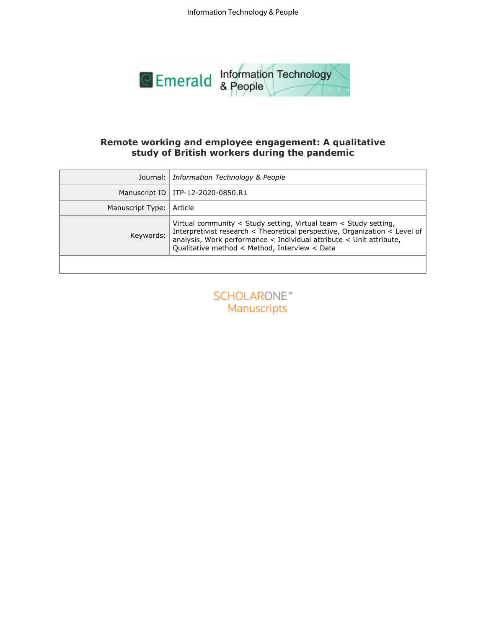

# **study of British workers during the pandemic**

| Remote working and employee engagement: A qualitative<br>study of British workers during the pandemic |                                                                                                                                                                                                                                                                        |  |  |  |  |  |  |  |
|-------------------------------------------------------------------------------------------------------|------------------------------------------------------------------------------------------------------------------------------------------------------------------------------------------------------------------------------------------------------------------------|--|--|--|--|--|--|--|
| Journal:                                                                                              | Information Technology & People                                                                                                                                                                                                                                        |  |  |  |  |  |  |  |
| Manuscript ID                                                                                         | ITP-12-2020-0850.R1                                                                                                                                                                                                                                                    |  |  |  |  |  |  |  |
| Manuscript Type:                                                                                      | Article                                                                                                                                                                                                                                                                |  |  |  |  |  |  |  |
| Keywords:                                                                                             | Virtual community < Study setting, Virtual team < Study setting,<br>Interpretivist research < Theoretical perspective, Organization < Level of<br>analysis, Work performance < Individual attribute < Unit attribute,<br>Qualitative method < Method, Interview < Data |  |  |  |  |  |  |  |
|                                                                                                       |                                                                                                                                                                                                                                                                        |  |  |  |  |  |  |  |
|                                                                                                       | <b>SCHOLARONE™</b><br>Manuscripts                                                                                                                                                                                                                                      |  |  |  |  |  |  |  |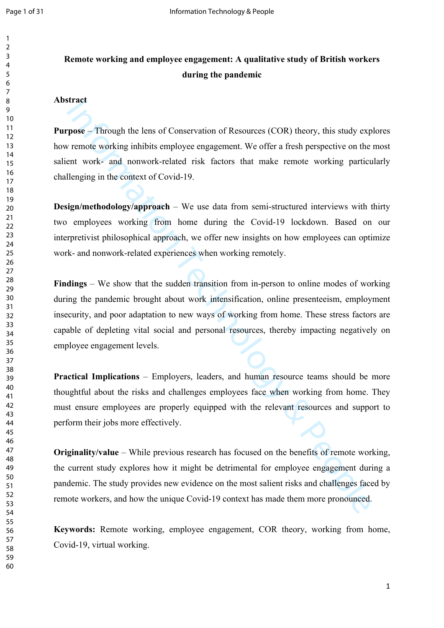# **Remote working and employee engagement: A qualitative study of British workers during the pandemic**

#### **Abstract**

**Purpose** – Through the lens of Conservation of Resources (COR) theory, this study explores how remote working inhibits employee engagement. We offer a fresh perspective on the most salient work- and nonwork-related risk factors that make remote working particularly challenging in the context of Covid-19.

**Design/methodology/approach** – We use data from semi-structured interviews with thirty two employees working from home during the Covid-19 lockdown. Based on our interpretivist philosophical approach, we offer new insights on how employees can optimize work- and nonwork-related experiences when working remotely.

Thract **Process** Through the lens of Conservation of Resources (COR) theory, this study expremote working inhibits employee engagement. We offer a fresh perspective on the ent work- and nonwork-related risk factors that ma **Findings** – We show that the sudden transition from in-person to online modes of working during the pandemic brought about work intensification, online presenteeism, employment insecurity, and poor adaptation to new ways of working from home. These stress factors are capable of depleting vital social and personal resources, thereby impacting negatively on employee engagement levels.

**Practical Implications** – Employers, leaders, and human resource teams should be more thoughtful about the risks and challenges employees face when working from home. They must ensure employees are properly equipped with the relevant resources and support to perform their jobs more effectively.

**Originality/value** – While previous research has focused on the benefits of remote working, the current study explores how it might be detrimental for employee engagement during a pandemic. The study provides new evidence on the most salient risks and challenges faced by remote workers, and how the unique Covid-19 context has made them more pronounced.

**Keywords:** Remote working, employee engagement, COR theory, working from home, Covid-19, virtual working.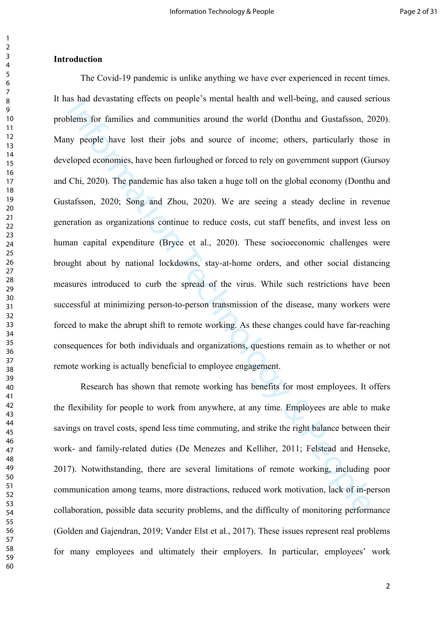#### **Introduction**

as is an devastaning erricts on propie's intention and were-being, and caused selferns for families and communities around the world (Donthu and Gustafsson, 2<br>ny people have lost their jobs and source of income; others, pa The Covid-19 pandemic is unlike anything we have ever experienced in recent times. It has had devastating effects on people's mental health and well-being, and caused serious problems for families and communities around the world (Donthu and Gustafsson, 2020). Many people have lost their jobs and source of income; others, particularly those in developed economies, have been furloughed or forced to rely on government support (Gursoy and Chi, 2020). The pandemic has also taken a huge toll on the global economy (Donthu and Gustafsson, 2020; Song and Zhou, 2020). We are seeing a steady decline in revenue generation as organizations continue to reduce costs, cut staff benefits, and invest less on human capital expenditure (Bryce et al., 2020). These socioeconomic challenges were brought about by national lockdowns, stay-at-home orders, and other social distancing measures introduced to curb the spread of the virus. While such restrictions have been successful at minimizing person-to-person transmission of the disease, many workers were forced to make the abrupt shift to remote working. As these changes could have far-reaching consequences for both individuals and organizations, questions remain as to whether or not remote working is actually beneficial to employee engagement.

Research has shown that remote working has benefits for most employees. It offers the flexibility for people to work from anywhere, at any time. Employees are able to make savings on travel costs, spend less time commuting, and strike the right balance between their work- and family-related duties (De Menezes and Kelliher, 2011; Felstead and Henseke, 2017). Notwithstanding, there are several limitations of remote working, including poor communication among teams, more distractions, reduced work motivation, lack of in-person collaboration, possible data security problems, and the difficulty of monitoring performance (Golden and Gajendran, 2019; Vander Elst et al., 2017). These issues represent real problems for many employees and ultimately their employers. In particular, employees' work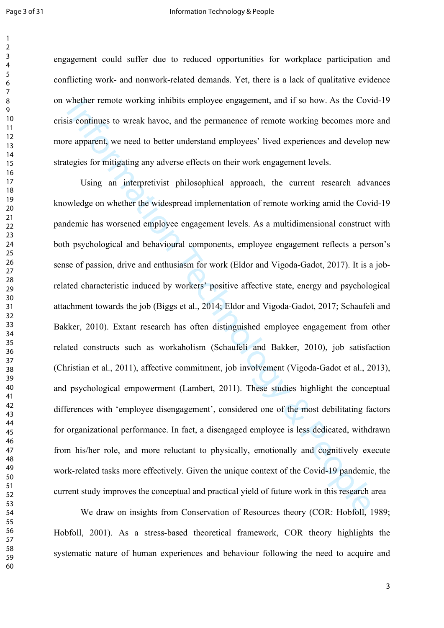engagement could suffer due to reduced opportunities for workplace participation and conflicting work- and nonwork-related demands. Yet, there is a lack of qualitative evidence on whether remote working inhibits employee engagement, and if so how. As the Covid-19 crisis continues to wreak havoc, and the permanence of remote working becomes more and more apparent, we need to better understand employees' lived experiences and develop new strategies for mitigating any adverse effects on their work engagement levels.

Whether remote working infibits employee engagement, and if so how. As the Cov<br>is continues to wreak havee, and the permanence of remote working becomes more<br>exparent, we need to better understand employees' lived experien Using an interpretivist philosophical approach, the current research advances knowledge on whether the widespread implementation of remote working amid the Covid-19 pandemic has worsened employee engagement levels. As a multidimensional construct with both psychological and behavioural components, employee engagement reflects a person's sense of passion, drive and enthusiasm for work (Eldor and Vigoda-Gadot, 2017). It is a jobrelated characteristic induced by workers' positive affective state, energy and psychological attachment towards the job (Biggs et al., 2014; Eldor and Vigoda-Gadot, 2017; Schaufeli and Bakker, 2010). Extant research has often distinguished employee engagement from other related constructs such as workaholism (Schaufeli and Bakker, 2010), job satisfaction (Christian et al., 2011), affective commitment, job involvement (Vigoda-Gadot et al., 2013), and psychological empowerment (Lambert, 2011). These studies highlight the conceptual differences with 'employee disengagement', considered one of the most debilitating factors for organizational performance. In fact, a disengaged employee is less dedicated, withdrawn from his/her role, and more reluctant to physically, emotionally and cognitively execute work-related tasks more effectively. Given the unique context of the Covid-19 pandemic, the current study improves the conceptual and practical yield of future work in this research area

We draw on insights from Conservation of Resources theory (COR: [Hobfoll, 1989;](https://www.sciencedirect.com/science/article/pii/S0001879119301472#bb0170) [Hobfoll, 2001](https://www.sciencedirect.com/science/article/pii/S0001879119301472#bb0175)). As a stress-based theoretical framework, COR theory highlights the systematic nature of human experiences and behaviour following the need to acquire and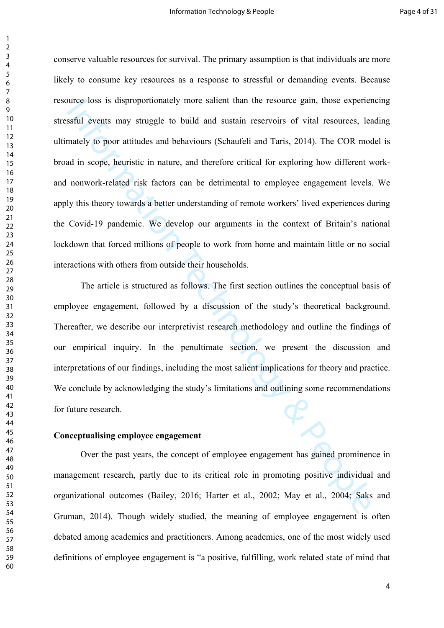nice loss is disproportionately more sailent than the resource gain, those experientsful events may struggle to build and sustain reservoirs of vital resources, leading the system of the matter, and therefore critical for conserve valuable resources for survival. The primary assumption is that individuals are more likely to consume key resources as a response to stressful or demanding events. Because resource loss is disproportionately more salient than the resource gain, those experiencing stressful events may struggle to build and sustain reservoirs of vital resources, leading ultimately to poor attitudes and behaviours (Schaufeli and Taris, 2014). The COR model is broad in scope, heuristic in nature, and therefore critical for exploring how different workand nonwork-related risk factors can be detrimental to employee engagement levels. We apply this theory towards a better understanding of remote workers' lived experiences during the Covid-19 pandemic. We develop our arguments in the context of Britain's national lockdown that forced millions of people to work from home and maintain little or no social interactions with others from outside their households.

The article is structured as follows. The first section outlines the conceptual basis of employee engagement, followed by a discussion of the study's theoretical background. Thereafter, we describe our interpretivist research methodology and outline the findings of our empirical inquiry. In the penultimate section, we present the discussion and interpretations of our findings, including the most salient implications for theory and practice. We conclude by acknowledging the study's limitations and outlining some recommendations for future research.

#### **Conceptualising employee engagement**

Over the past years, the concept of employee engagement has gained prominence in management research, partly due to its critical role in promoting positive individual and organizational outcomes (Bailey, 2016; Harter et al., 2002; May et al., 2004; Saks and Gruman, 2014). Though widely studied, the meaning of employee engagement is often debated among academics and practitioners. Among academics, one of the most widely used definitions of employee engagement is "a positive, fulfilling, work related state of mind that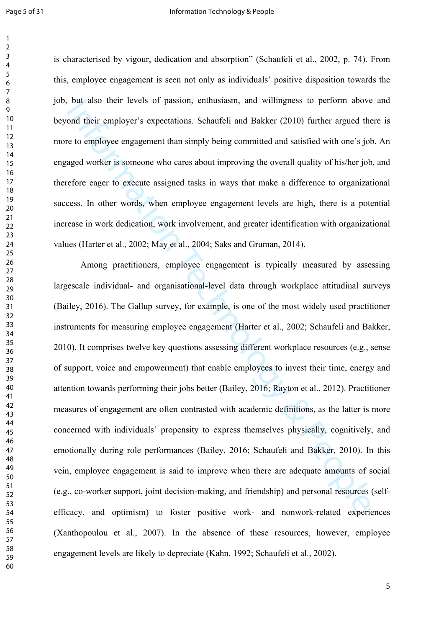is characterised by vigour, dedication and absorption" (Schaufeli et al., 2002, p. 74). From this, employee engagement is seen not only as individuals' positive disposition towards the job, but also their levels of passion, enthusiasm, and willingness to perform above and beyond their employer's expectations. Schaufeli and Bakker (2010) further argued there is more to employee engagement than simply being committed and satisfied with one's job. An engaged worker is someone who cares about improving the overall quality of his/her job, and therefore eager to execute assigned tasks in ways that make a difference to organizational success. In other words, when employee engagement levels are high, there is a potential increase in work dedication, work involvement, and greater identification with organizational values (Harter et al., 2002; May et al., 2004; Saks and Gruman, 2014).

out also their levels of passion, enthusiasm, and willingness to perform above<br>ond their employer's expectations. Schaufeli and Bakker (2010) further argued the<br>to employee engagement than simply being committed and satisf Among practitioners, employee engagement is typically measured by assessing largescale individual- and organisational-level data through workplace attitudinal surveys (Bailey, 2016). The Gallup survey, for example, is one of the most widely used practitioner instruments for measuring employee engagement (Harter et al., 2002; Schaufeli and Bakker, 2010). It comprises twelve key questions assessing different workplace resources (e.g., sense of support, voice and empowerment) that enable employees to invest their time, energy and attention towards performing their jobs better (Bailey, 2016; Rayton et al., 2012). Practitioner measures of engagement are often contrasted with academic definitions, as the latter is more concerned with individuals' propensity to express themselves physically, cognitively, and emotionally during role performances (Bailey, 2016; Schaufeli and Bakker, 2010). In this vein, employee engagement is said to improve when there are adequate amounts of social (e.g., co-worker support, joint decision-making, and friendship) and personal resources (selfefficacy, and optimism) to foster positive work- and nonwork-related experiences (Xanthopoulou et al., 2007). In the absence of these resources, however, employee engagement levels are likely to depreciate (Kahn, 1992; Schaufeli et al., 2002).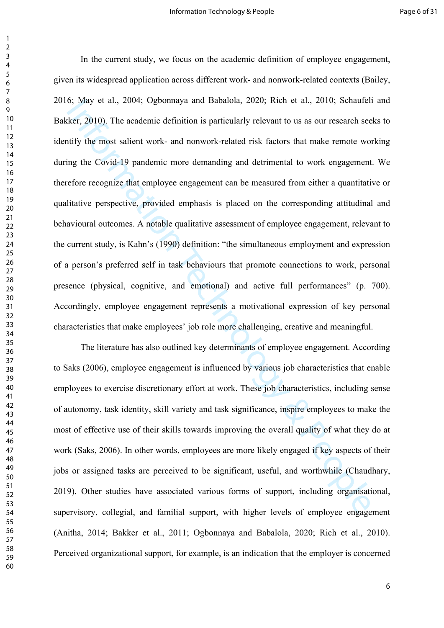6; way et al., 2004; Ogeonnaya and Babalola, 2020; Kien et al., 2010; Schaulein<br>ther, 2010). The academic definition is particularly relevant to us as our research see<br>tify the most salient work- and nonwork-related risk f In the current study, we focus on the academic definition of employee engagement, given its widespread application across different work- and nonwork-related contexts (Bailey, 2016; May et al., 2004; Ogbonnaya and Babalola, 2020; Rich et al., 2010; Schaufeli and Bakker, 2010). The academic definition is particularly relevant to us as our research seeks to identify the most salient work- and nonwork-related risk factors that make remote working during the Covid-19 pandemic more demanding and detrimental to work engagement. We therefore recognize that employee engagement can be measured from either a quantitative or qualitative perspective, provided emphasis is placed on the corresponding attitudinal and behavioural outcomes. A notable qualitative assessment of employee engagement, relevant to the current study, is Kahn's (1990) definition: "the simultaneous employment and expression of a person's preferred self in task behaviours that promote connections to work, personal presence (physical, cognitive, and emotional) and active full performances" (p. 700). Accordingly, employee engagement represents a motivational expression of key personal characteristics that make employees' job role more challenging, creative and meaningful.

The literature has also outlined key determinants of employee engagement. According to Saks (2006), employee engagement is influenced by various job characteristics that enable employees to exercise discretionary effort at work. These job characteristics, including sense of autonomy, task identity, skill variety and task significance, inspire employees to make the most of effective use of their skills towards improving the overall quality of what they do at work (Saks, 2006). In other words, employees are more likely engaged if key aspects of their jobs or assigned tasks are perceived to be significant, useful, and worthwhile (Chaudhary, 2019). Other studies have associated various forms of support, including organisational, supervisory, collegial, and familial support, with higher levels of employee engagement (Anitha, 2014; Bakker et al., 2011; Ogbonnaya and Babalola, 2020; Rich et al., 2010). Perceived organizational support, for example, is an indication that the employer is concerned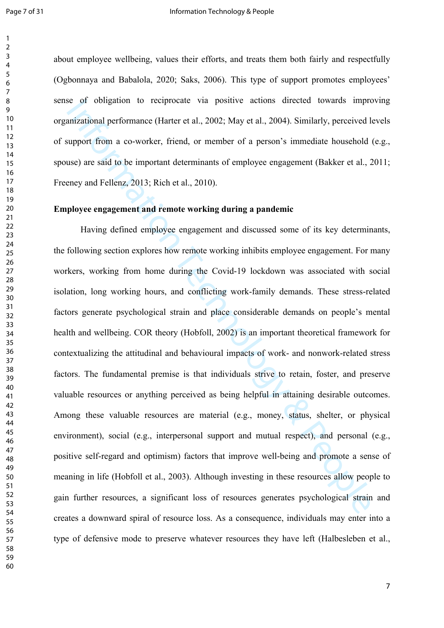about employee wellbeing, values their efforts, and treats them both fairly and respectfully (Ogbonnaya and Babalola, 2020; Saks, 2006). This type of support promotes employees' sense of obligation to reciprocate via positive actions directed towards improving organizational performance (Harter et al., 2002; May et al., 2004). Similarly, perceived levels of support from a co-worker, friend, or member of a person's immediate household (e.g., spouse) are said to be important determinants of employee engagement (Bakker et al., 2011; Freeney and Fellenz, 2013; Rich et al., 2010).

#### **Employee engagement and remote working during a pandemic**

se of obligation to reciprocate via positive actions directed towards improminational performance (Harter et al., 2002; May et al., 2004). Similarly, perceived lapport from a co-worker, friend, or member of a person's imme Having defined employee engagement and discussed some of its key determinants, the following section explores how remote working inhibits employee engagement. For many workers, working from home during the Covid-19 lockdown was associated with social isolation, long working hours, and conflicting work-family demands. These stress-related factors generate psychological strain and place considerable demands on people's mental health and wellbeing. COR theory (Hobfoll, 2002) is an important theoretical framework for contextualizing the attitudinal and behavioural impacts of work- and nonwork-related stress factors. The fundamental premise is that individuals strive to retain, foster, and preserve valuable resources or anything perceived as being helpful in attaining desirable outcomes. Among these valuable resources are material (e.g., money, status, shelter, or physical environment), social (e.g., interpersonal support and mutual respect), and personal (e.g., positive self-regard and optimism) factors that improve well-being and promote a sense of meaning in life (Hobfoll et al., 2003). Although investing in these resources allow people to gain further resources, a significant loss of resources generates psychological strain and creates a downward spiral of resource loss. As a consequence, individuals may enter into a type of defensive mode to preserve whatever resources they have left [\(Halbesleben et al.,](https://www.sciencedirect.com/science/article/pii/S0001879119301472#bb0135)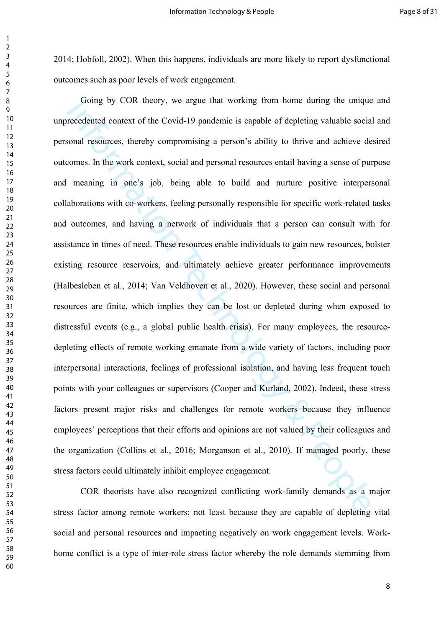; [Hobfoll, 2002](https://www.sciencedirect.com/science/article/pii/S0001879119301472#bb0175)). When this happens, individuals are more likely to report dysfunctional outcomes such as poor levels of work engagement.

Going by COR theory, we argue that working from nome during the unique<br>recedented context of the Covid-19 pandemic is capable of depleting valuable social<br>resolutions. Hereby compromising a person's ability to thrive and a Going by COR theory, we argue that working from home during the unique and unprecedented context of the Covid-19 pandemic is capable of depleting valuable social and personal resources, thereby compromising a person's ability to thrive and achieve desired outcomes. In the work context, social and personal resources entail having a sense of purpose and meaning in one's job, being able to build and nurture positive interpersonal collaborations with co-workers, feeling personally responsible for specific work-related tasks and outcomes, and having a network of individuals that a person can consult with for assistance in times of need. These resources enable individuals to gain new resources, bolster existing resource reservoirs, and ultimately achieve greater performance improvements (Halbesleben et al., 2014; Van Veldhoven et al., 2020). However, these social and personal resources are finite, which implies they can be lost or depleted during when exposed to distressful events (e.g., a global public health crisis). For many employees, the resourcedepleting effects of remote working emanate from a wide variety of factors, including poor interpersonal interactions, feelings of professional isolation, and having less frequent touch points with your colleagues or supervisors (Cooper and Kurland, 2002). Indeed, these stress factors present major risks and challenges for remote workers because they influence employees' perceptions that their efforts and opinions are not valued by their colleagues and the organization (Collins et al., 2016; Morganson et al., 2010). If managed poorly, these stress factors could ultimately inhibit employee engagement.

COR theorists have also recognized conflicting work-family demands as a major stress factor among remote workers; not least because they are capable of depleting vital social and personal resources and impacting negatively on work engagement levels. Workhome conflict is a type of inter-role stress factor whereby the role demands stemming from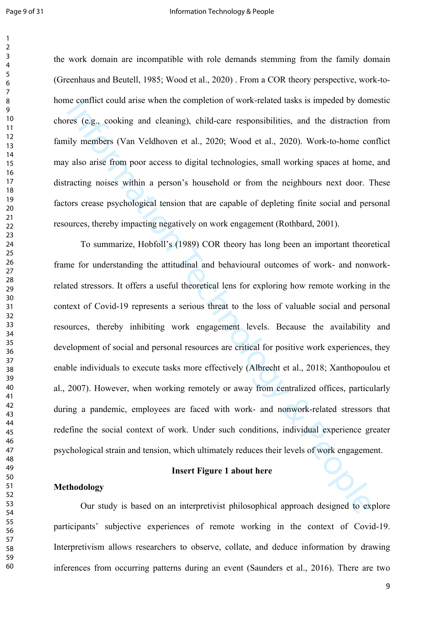#### Page 9 of 31 and 1 Information Technology & People

the work domain are incompatible with role demands stemming from the family domain ([Greenhaus and Beutell, 1985; Wood et al., 2020\)](https://www.frontiersin.org/articles/10.3389/fpsyg.2019.02362/full#B42) . From a COR theory perspective, work-tohome conflict could arise when the completion of work-related tasks is impeded by domestic chores (e.g., cooking and cleaning), child-care responsibilities, and the distraction from family members (Van Veldhoven et al., 2020; Wood et al., 2020). Work-to-home conflict may also arise from poor access to digital technologies, small working spaces at home, and distracting noises within a person's household or from the neighbours next door. These factors crease psychological tension that are capable of depleting finite social and personal resources, thereby impacting negatively on work engagement (Rothbard, 2001).

is contrict could artse when the completion of work-related tasks is impeded by domes (e.g., cooking and cleaning), child-care responsibilities, and the distraction ily members (Van Veldhoven et al., 2020; Wood et al., 202 To summarize, Hobfoll's (1989) COR theory has long been an important theoretical frame for understanding the attitudinal and behavioural outcomes of work- and nonworkrelated stressors. It offers a useful theoretical lens for exploring how remote working in the context of Covid-19 represents a serious threat to the loss of valuable social and personal resources, thereby inhibiting work engagement levels. Because the availability and development of social and personal resources are critical for positive work experiences, they enable individuals to execute tasks more effectively (Albrecht et al., 2018; Xanthopoulou et al., 2007). However, when working remotely or away from centralized offices, particularly during a pandemic, employees are faced with work- and nonwork-related stressors that redefine the social context of work. Under such conditions, individual experience greater psychological strain and tension, which ultimately reduces their levels of work engagement.

#### **Insert Figure 1 about here**

# **Methodology**

Our study is based on an interpretivist philosophical approach designed to explore participants' subjective experiences of remote working in the context of Covid-19. Interpretivism allows researchers to observe, collate, and deduce information by drawing inferences from occurring patterns during an event (Saunders et al., 2016). There are two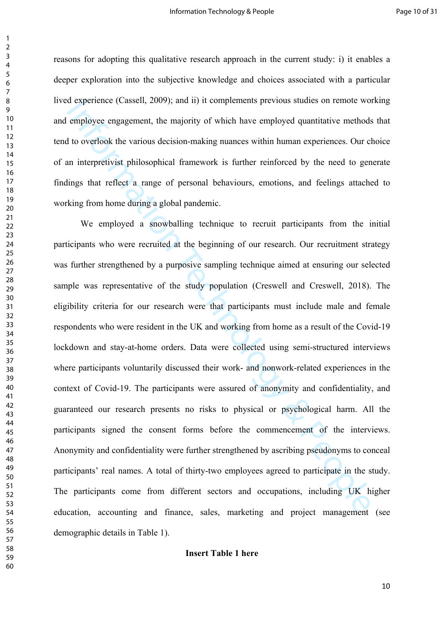reasons for adopting this qualitative research approach in the current study: i) it enables a deeper exploration into the subjective knowledge and choices associated with a particular lived experience (Cassell, 2009); and ii) it complements previous studies on remote working and employee engagement, the majority of which have employed quantitative methods that tend to overlook the various decision-making nuances within human experiences. Our choice of an interpretivist philosophical framework is further reinforced by the need to generate findings that reflect a range of personal behaviours, emotions, and feelings attached to working from home during a global pandemic.

d experience (Casseli, 2009); and ii) it complements previous studies on remote wo<br>employee engagement, the majority of which have employed quantitative methods<br>to overlook the various decision-making nuances within human We employed a snowballing technique to recruit participants from the initial participants who were recruited at the beginning of our research. Our recruitment strategy was further strengthened by a purposive sampling technique aimed at ensuring our selected sample was representative of the study population (Creswell and Creswell, 2018). The eligibility criteria for our research were that participants must include male and female respondents who were resident in the UK and working from home as a result of the Covid-19 lockdown and stay-at-home orders. Data were collected using semi-structured interviews where participants voluntarily discussed their work- and nonwork-related experiences in the context of Covid-19. The participants were assured of anonymity and confidentiality, and guaranteed our research presents no risks to physical or psychological harm. All the participants signed the consent forms before the commencement of the interviews. Anonymity and confidentiality were further strengthened by ascribing pseudonyms to conceal participants' real names. A total of thirty-two employees agreed to participate in the study. The participants come from different sectors and occupations, including UK higher education, accounting and finance, sales, marketing and project management (see demographic details in Table 1).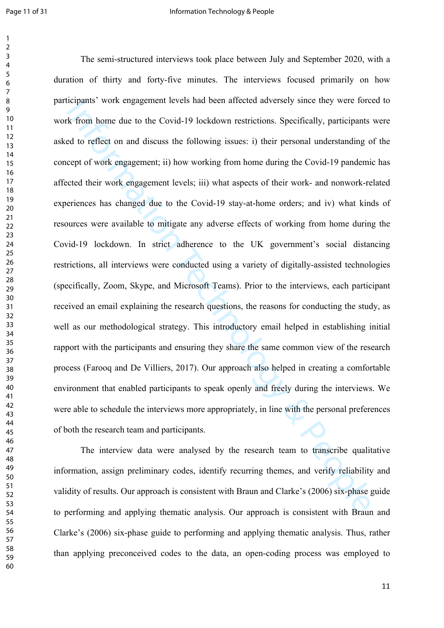Icipanis work engagement levels had been affected advessely since they were fore<br>
the form home due to the Covid-19 lockdown restrictions. Specifically, participants<br>
and to reflect on and discuss the following issues: i) The semi-structured interviews took place between July and September 2020, with a duration of thirty and forty-five minutes. The interviews focused primarily on how participants' work engagement levels had been affected adversely since they were forced to work from home due to the Covid-19 lockdown restrictions. Specifically, participants were asked to reflect on and discuss the following issues: i) their personal understanding of the concept of work engagement; ii) how working from home during the Covid-19 pandemic has affected their work engagement levels; iii) what aspects of their work- and nonwork-related experiences has changed due to the Covid-19 stay-at-home orders; and iv) what kinds of resources were available to mitigate any adverse effects of working from home during the Covid-19 lockdown. In strict adherence to the UK government's social distancing restrictions, all interviews were conducted using a variety of digitally-assisted technologies (specifically, Zoom, Skype, and Microsoft Teams). Prior to the interviews, each participant received an email explaining the research questions, the reasons for conducting the study, as well as our methodological strategy. This introductory email helped in establishing initial rapport with the participants and ensuring they share the same common view of the research process (Farooq and De Villiers, 2017). Our approach also helped in creating a comfortable environment that enabled participants to speak openly and freely during the interviews. We were able to schedule the interviews more appropriately, in line with the personal preferences of both the research team and participants.

The interview data were analysed by the research team to transcribe qualitative information, assign preliminary codes, identify recurring themes, and verify reliability and validity of results. Our approach is consistent with Braun and Clarke's (2006) six-phase guide to performing and applying thematic analysis. Our approach is consistent with Braun and Clarke's (2006) six-phase guide to performing and applying thematic analysis. Thus, rather than applying preconceived codes to the data, an open-coding process was employed to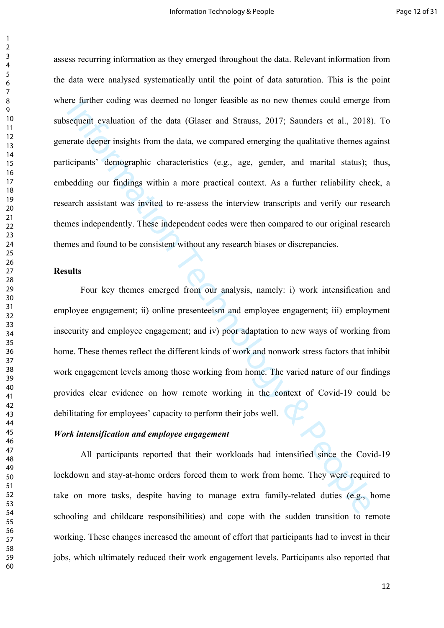For entrine coding was deemed no longer reasible as no new themes could enterged<br>exquent evaluation of the data (Glaser and Strauss, 2017; Saunders et al., 2018;<br>erate deeper insights from the data, we compared emerging th assess recurring information as they emerged throughout the data. Relevant information from the data were analysed systematically until the point of data saturation. This is the point where further coding was deemed no longer feasible as no new themes could emerge from subsequent evaluation of the data (Glaser and Strauss, 2017; Saunders et al., 2018). To generate deeper insights from the data, we compared emerging the qualitative themes against participants' demographic characteristics (e.g., age, gender, and marital status); thus, embedding our findings within a more practical context. As a further reliability check, a research assistant was invited to re-assess the interview transcripts and verify our research themes independently. These independent codes were then compared to our original research themes and found to be consistent without any research biases or discrepancies.

#### **Results**

Four key themes emerged from our analysis, namely: i) work intensification and employee engagement; ii) online presenteeism and employee engagement; iii) employment insecurity and employee engagement; and iv) poor adaptation to new ways of working from home. These themes reflect the different kinds of work and nonwork stress factors that inhibit work engagement levels among those working from home. The varied nature of our findings provides clear evidence on how remote working in the context of Covid-19 could be debilitating for employees' capacity to perform their jobs well.

#### *Work intensification and employee engagement*

All participants reported that their workloads had intensified since the Covid-19 lockdown and stay-at-home orders forced them to work from home. They were required to take on more tasks, despite having to manage extra family-related duties (e.g., home schooling and childcare responsibilities) and cope with the sudden transition to remote working. These changes increased the amount of effort that participants had to invest in their jobs, which ultimately reduced their work engagement levels. Participants also reported that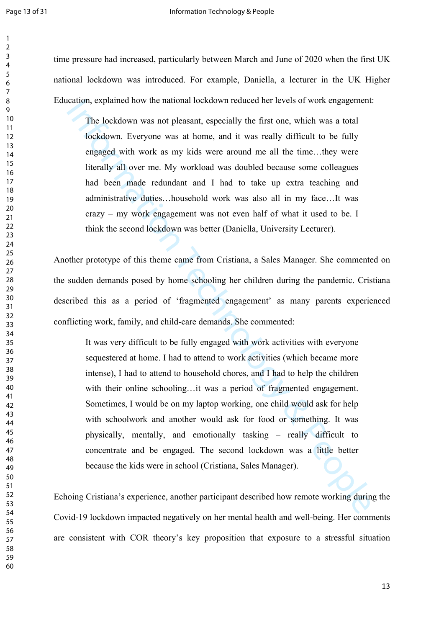time pressure had increased, particularly between March and June of 2020 when the first UK national lockdown was introduced. For example, Daniella, a lecturer in the UK Higher Education, explained how the national lockdown reduced her levels of work engagement:

The lockdown was not pleasant, especially the first one, which was a total lockdown. Everyone was at home, and it was really difficult to be fully engaged with work as my kids were around me all the time…they were literally all over me. My workload was doubled because some colleagues had been made redundant and I had to take up extra teaching and administrative duties…household work was also all in my face…It was crazy – my work engagement was not even half of what it used to be. I think the second lockdown was better (Daniella, University Lecturer).

Another prototype of this theme came from Cristiana, a Sales Manager. She commented on the sudden demands posed by home schooling her children during the pandemic. Cristiana described this as a period of 'fragmented engagement' as many parents experienced conflicting work, family, and child-care demands. She commented:

cation, explained now the national lockdown reduced ner levels of work engagement<br>
The lockdown was not pleasant, especially the first one, which was a total<br>
lockdown. Everyone was at home, and it was really difficult to It was very difficult to be fully engaged with work activities with everyone sequestered at home. I had to attend to work activities (which became more intense), I had to attend to household chores, and I had to help the children with their online schooling…it was a period of fragmented engagement. Sometimes, I would be on my laptop working, one child would ask for help with schoolwork and another would ask for food or something. It was physically, mentally, and emotionally tasking – really difficult to concentrate and be engaged. The second lockdown was a little better because the kids were in school (Cristiana, Sales Manager).

Echoing Cristiana's experience, another participant described how remote working during the Covid-19 lockdown impacted negatively on her mental health and well-being. Her comments are consistent with COR theory's key proposition that exposure to a stressful situation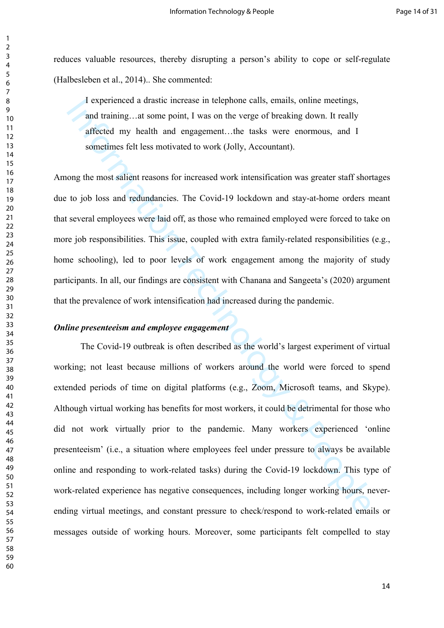reduces valuable resources, thereby disrupting a person's ability to cope or self-regulate (Halbesleben et al., 2014).. She commented:

I experienced a drastic increase in telephone calls, emails, online meetings, and training…at some point, I was on the verge of breaking down. It really affected my health and engagement…the tasks were enormous, and I sometimes felt less motivated to work (Jolly, Accountant).

Among the most salient reasons for increased work intensification was greater staff shortages due to job loss and redundancies. The Covid-19 lockdown and stay-at-home orders meant that several employees were laid off, as those who remained employed were forced to take on more job responsibilities. This issue, coupled with extra family-related responsibilities (e.g., home schooling), led to poor levels of work engagement among the majority of study participants. In all, our findings are consistent with Chanana and Sangeeta's (2020) argument that the prevalence of work intensification had increased during the pandemic.

# *Online presenteeism and employee engagement*

If experienced a drastic increase in telephone calls, emails, online meetings,<br>and training... at some point, I was on the verge of breaking down. It really<br>affected my health and engagement...the tasks were chromous, and The Covid-19 outbreak is often described as the world's largest experiment of virtual working; not least because millions of workers around the world were forced to spend extended periods of time on digital platforms (e.g., Zoom, Microsoft teams, and Skype). Although virtual working has benefits for most workers, it could be detrimental for those who did not work virtually prior to the pandemic. Many workers experienced 'online presenteeism' (i.e., a situation where employees feel under pressure to always be available online and responding to work-related tasks) during the Covid-19 lockdown. This type of work-related experience has negative consequences, including longer working hours, neverending virtual meetings, and constant pressure to check/respond to work-related emails or messages outside of working hours. Moreover, some participants felt compelled to stay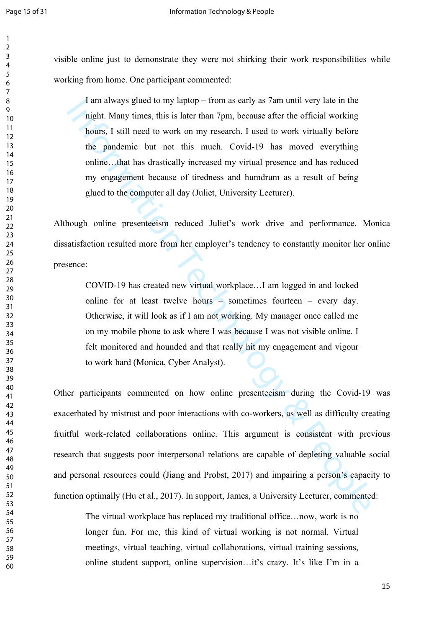visible online just to demonstrate they were not shirking their work responsibilities while working from home. One participant commented:

I am always glued to my laptop – from as early as 7am until very late in the night. Many times, this is later than 7pm, because after the official working hours, I still need to work on my research. I used to work virtually before the pandemic but not this much. Covid-19 has moved everything online…that has drastically increased my virtual presence and has reduced my engagement because of tiredness and humdrum as a result of being glued to the computer all day (Juliet, University Lecturer).

Although online presenteeism reduced Juliet's work drive and performance, Monica dissatisfaction resulted more from her employer's tendency to constantly monitor her online presence:

COVID-19 has created new virtual workplace…I am logged in and locked online for at least twelve hours – sometimes fourteen – every day. Otherwise, it will look as if I am not working. My manager once called me on my mobile phone to ask where I was because I was not visible online. I felt monitored and hounded and that really hit my engagement and vigour to work hard (Monica, Cyber Analyst).

I am always gued to my laptop - rrom as early as *a* m until very late in me<br>inght. Many times, this is later than 7pm, because after the official vorking<br>bours, 1 still need to work on my research. I used to work virtuall Other participants commented on how online presenteeism during the Covid-19 was exacerbated by mistrust and poor interactions with co-workers, as well as difficulty creating fruitful work-related collaborations online. This argument is consistent with previous research that suggests poor interpersonal relations are capable of depleting valuable social and personal resources could (Jiang and Probst, 2017) and impairing a person's capacity to function optimally (Hu et al., 2017). In support, James, a University Lecturer, commented:

The virtual workplace has replaced my traditional office…now, work is no longer fun. For me, this kind of virtual working is not normal. Virtual meetings, virtual teaching, virtual collaborations, virtual training sessions, online student support, online supervision…it's crazy. It's like I'm in a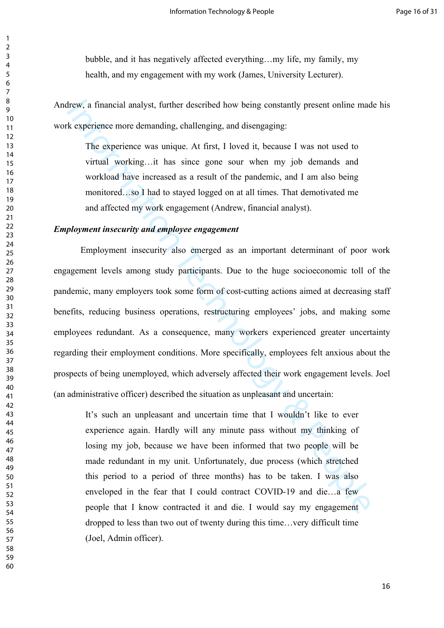bubble, and it has negatively affected everything…my life, my family, my health, and my engagement with my work (James, University Lecturer).

Andrew, a financial analyst, further described how being constantly present online made his work experience more demanding, challenging, and disengaging:

The experience was unique. At first, I loved it, because I was not used to virtual working…it has since gone sour when my job demands and workload have increased as a result of the pandemic, and I am also being monitored…so I had to stayed logged on at all times. That demotivated me and affected my work engagement (Andrew, financial analyst).

# *Employment insecurity and employee engagement*

The section analyst, further described how being constantly present online made activation are determined as a people was unique. At first, I loved it, because I was not used to virtual working...it has since gone sour whe Employment insecurity also emerged as an important determinant of poor work engagement levels among study participants. Due to the huge socioeconomic toll of the pandemic, many employers took some form of cost-cutting actions aimed at decreasing staff benefits, reducing business operations, restructuring employees' jobs, and making some employees redundant. As a consequence, many workers experienced greater uncertainty regarding their employment conditions. More specifically, employees felt anxious about the prospects of being unemployed, which adversely affected their work engagement levels. Joel (an administrative officer) described the situation as unpleasant and uncertain:

It's such an unpleasant and uncertain time that I wouldn't like to ever experience again. Hardly will any minute pass without my thinking of losing my job, because we have been informed that two people will be made redundant in my unit. Unfortunately, due process (which stretched this period to a period of three months) has to be taken. I was also enveloped in the fear that I could contract COVID-19 and die…a few people that I know contracted it and die. I would say my engagement dropped to less than two out of twenty during this time…very difficult time (Joel, Admin officer).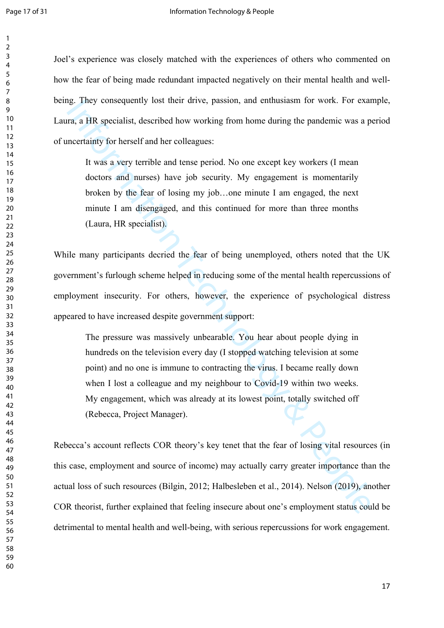Joel's experience was closely matched with the experiences of others who commented on how the fear of being made redundant impacted negatively on their mental health and wellbeing. They consequently lost their drive, passion, and enthusiasm for work. For example, Laura, a HR specialist, described how working from home during the pandemic was a period of uncertainty for herself and her colleagues:

It was a very terrible and tense period. No one except key workers (I mean doctors and nurses) have job security. My engagement is momentarily broken by the fear of losing my job…one minute I am engaged, the next minute I am disengaged, and this continued for more than three months (Laura, HR specialist).

While many participants decried the fear of being unemployed, others noted that the UK government's furlough scheme helped in reducing some of the mental health repercussions of employment insecurity. For others, however, the experience of psychological distress appeared to have increased despite government support:

Information Intervel passion, and entimistion for work. For example and HR specialist, described how working from home during the pandemic was a pacertainty for herself and her colleagues:<br>It was a very terrible and tense The pressure was massively unbearable. You hear about people dying in hundreds on the television every day (I stopped watching television at some point) and no one is immune to contracting the virus. I became really down when I lost a colleague and my neighbour to Covid-19 within two weeks. My engagement, which was already at its lowest point, totally switched off (Rebecca, Project Manager).

Rebecca's account reflects COR theory's key tenet that the fear of losing vital resources (in this case, employment and source of income) may actually carry greater importance than the actual loss of such resources (Bilgin, 2012; Halbesleben et al., 2014). Nelson (2019), another COR theorist, further explained that feeling insecure about one's employment status could be detrimental to mental health and well-being, with serious repercussions for work engagement.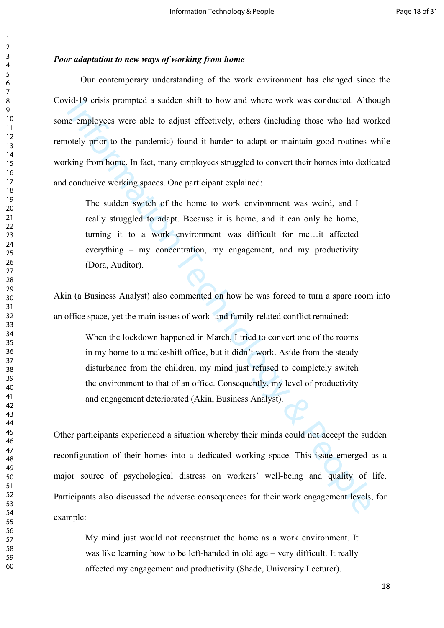## *Poor adaptation to new ways of working from home*

The remotion of the main issues of work and the more work was conducted. Although the employees were able to adjust effectively, others (including those who had weeds) prior to the pandemic) found it harder to adapt or mai Our contemporary understanding of the work environment has changed since the Covid-19 crisis prompted a sudden shift to how and where work was conducted. Although some employees were able to adjust effectively, others (including those who had worked remotely prior to the pandemic) found it harder to adapt or maintain good routines while working from home. In fact, many employees struggled to convert their homes into dedicated and conducive working spaces. One participant explained:

The sudden switch of the home to work environment was weird, and I really struggled to adapt. Because it is home, and it can only be home, turning it to a work environment was difficult for me…it affected everything – my concentration, my engagement, and my productivity (Dora, Auditor).

Akin (a Business Analyst) also commented on how he was forced to turn a spare room into an office space, yet the main issues of work- and family-related conflict remained:

When the lockdown happened in March, I tried to convert one of the rooms in my home to a makeshift office, but it didn't work. Aside from the steady disturbance from the children, my mind just refused to completely switch the environment to that of an office. Consequently, my level of productivity and engagement deteriorated (Akin, Business Analyst).

Other participants experienced a situation whereby their minds could not accept the sudden reconfiguration of their homes into a dedicated working space. This issue emerged as a major source of psychological distress on workers' well-being and quality of life. Participants also discussed the adverse consequences for their work engagement levels, for example:

My mind just would not reconstruct the home as a work environment. It was like learning how to be left-handed in old age – very difficult. It really affected my engagement and productivity (Shade, University Lecturer).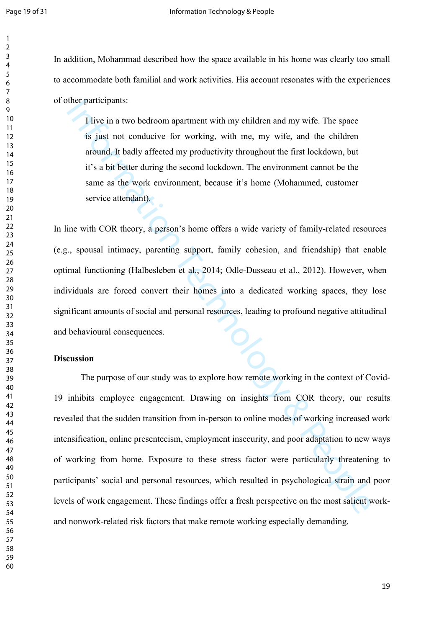In addition, Mohammad described how the space available in his home was clearly too small to accommodate both familial and work activities. His account resonates with the experiences of other participants:

I live in a two bedroom apartment with my children and my wife. The space is just not conducive for working, with me, my wife, and the children around. It badly affected my productivity throughout the first lockdown, but it's a bit better during the second lockdown. The environment cannot be the same as the work environment, because it's home (Mohammed, customer service attendant).

In line with COR theory, a person's home offers a wide variety of family-related resources (e.g., spousal intimacy, parenting support, family cohesion, and friendship) that enable optimal functioning (Halbesleben et al., 2014; Odle-Dusseau et al., 2012). However, when individuals are forced convert their homes into a dedicated working spaces, they lose significant amounts of social and personal resources, leading to profound negative attitudinal and behavioural consequences.

# **Discussion**

Ilive in a two bedroom apartment with my children and my wife. The space<br>is just not to conducive for working, with me, my wife, and the children<br>around. It badly affected my productivity throughout the first lockdown, but The purpose of our study was to explore how remote working in the context of Covid-19 inhibits employee engagement. Drawing on insights from COR theory, our results revealed that the sudden transition from in-person to online modes of working increased work intensification, online presenteeism, employment insecurity, and poor adaptation to new ways of working from home. Exposure to these stress factor were particularly threatening to participants' social and personal resources, which resulted in psychological strain and poor levels of work engagement. These findings offer a fresh perspective on the most salient workand nonwork-related risk factors that make remote working especially demanding.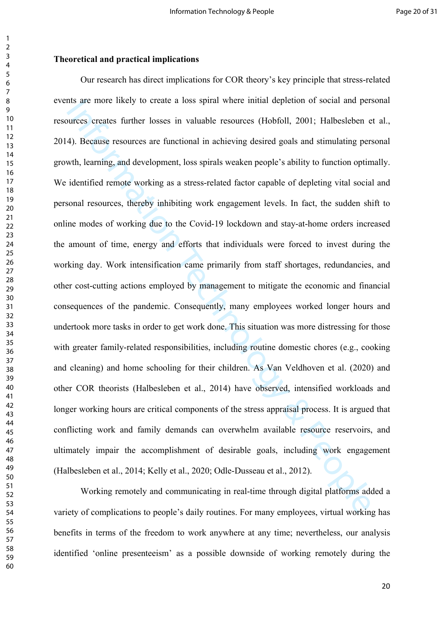#### **Theoretical and practical implications**

ans are more likely to create a loss spiral where initial depletion of social and per<br>urces creates further losses in valuable resources (Hobfoll, 2001; Halbesleben e<br>4). Because resources are functional in achieving desir Our research has direct implications for COR theory's key principle that stress-related events are more likely to create a loss spiral where initial depletion of social and personal resources creates further losses in valuable resources (Hobfoll, 2001; Halbesleben et al., 2014). Because resources are functional in achieving desired goals and stimulating personal growth, learning, and development, loss spirals weaken people's ability to function optimally. We identified remote working as a stress-related factor capable of depleting vital social and personal resources, thereby inhibiting work engagement levels. In fact, the sudden shift to online modes of working due to the Covid-19 lockdown and stay-at-home orders increased the amount of time, energy and efforts that individuals were forced to invest during the working day. Work intensification came primarily from staff shortages, redundancies, and other cost-cutting actions employed by management to mitigate the economic and financial consequences of the pandemic. Consequently, many employees worked longer hours and undertook more tasks in order to get work done. This situation was more distressing for those with greater family-related responsibilities, including routine domestic chores (e.g., cooking and cleaning) and home schooling for their children. As Van Veldhoven et al. (2020) and other COR theorists (Halbesleben et al., 2014) have observed, intensified workloads and longer working hours are critical components of the stress appraisal process. It is argued that conflicting work and family demands can overwhelm available resource reservoirs, and ultimately impair the accomplishment of desirable goals, including work engagement (Halbesleben et al., 2014; Kelly et al., 2020; Odle-Dusseau et al., 2012).

Working remotely and communicating in real-time through digital platforms added a variety of complications to people's daily routines. For many employees, virtual working has benefits in terms of the freedom to work anywhere at any time; nevertheless, our analysis identified 'online presenteeism' as a possible downside of working remotely during the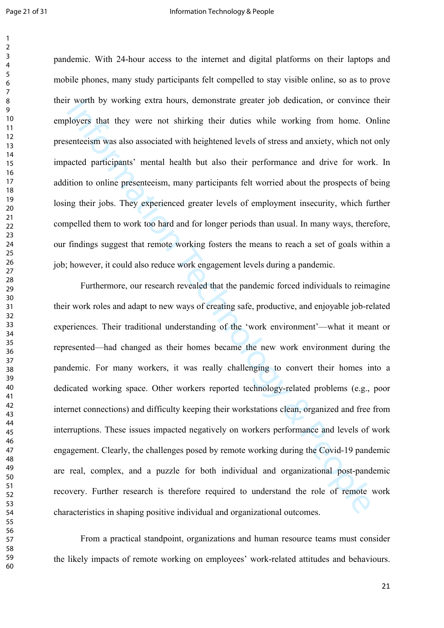pandemic. With 24-hour access to the internet and digital platforms on their laptops and mobile phones, many study participants felt compelled to stay visible online, so as to prove their worth by working extra hours, demonstrate greater job dedication, or convince their employers that they were not shirking their duties while working from home. Online presenteeism was also associated with heightened levels of stress and anxiety, which not only impacted participants' mental health but also their performance and drive for work. In addition to online presenteeism, many participants felt worried about the prospects of being losing their jobs. They experienced greater levels of employment insecurity, which further compelled them to work too hard and for longer periods than usual. In many ways, therefore, our findings suggest that remote working fosters the means to reach a set of goals within a job; however, it could also reduce work engagement levels during a pandemic.

The worth by Working extra nours, demonstrate greater job dedication, or convince<br>aloyers that they were not shirking their duties while working from home. O<br>nenteeism was also associated with heightened levels of stress a Furthermore, our research revealed that the pandemic forced individuals to reimagine their work roles and adapt to new ways of creating safe, productive, and enjoyable job-related experiences. Their traditional understanding of the 'work environment'—what it meant or represented—had changed as their homes became the new work environment during the pandemic. For many workers, it was really challenging to convert their homes into a dedicated working space. Other workers reported technology-related problems (e.g., poor internet connections) and difficulty keeping their workstations clean, organized and free from interruptions. These issues impacted negatively on workers performance and levels of work engagement. Clearly, the challenges posed by remote working during the Covid-19 pandemic are real, complex, and a puzzle for both individual and organizational post-pandemic recovery. Further research is therefore required to understand the role of remote work characteristics in shaping positive individual and organizational outcomes.

From a practical standpoint, organizations and human resource teams must consider the likely impacts of remote working on employees' work-related attitudes and behaviours.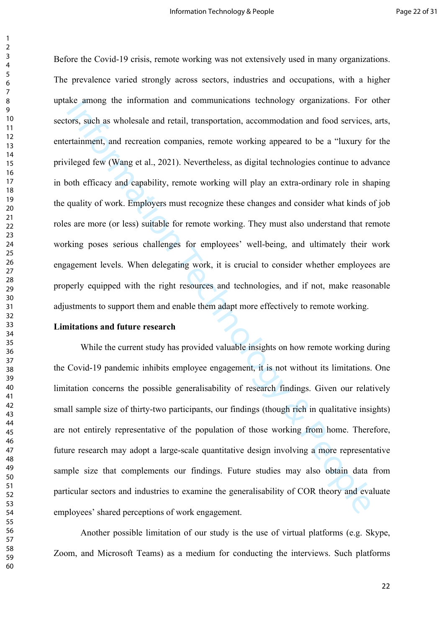is the among the information and communications technology organizations. For<br>ors, such as wholesale and retail, transportation, accommodation and food services,<br>ratainment, and receration companies, remote working appeare Before the Covid-19 crisis, remote working was not extensively used in many organizations. The prevalence varied strongly across sectors, industries and occupations, with a higher uptake among the information and communications technology organizations. For other sectors, such as wholesale and retail, transportation, accommodation and food services, arts, entertainment, and recreation companies, remote working appeared to be a "luxury for the privileged few (Wang et al., 2021). Nevertheless, as digital technologies continue to advance in both efficacy and capability, remote working will play an extra-ordinary role in shaping the quality of work. Employers must recognize these changes and consider what kinds of job roles are more (or less) suitable for remote working. They must also understand that remote working poses serious challenges for employees' well-being, and ultimately their work engagement levels. When delegating work, it is crucial to consider whether employees are properly equipped with the right resources and technologies, and if not, make reasonable adjustments to support them and enable them adapt more effectively to remote working.

#### **Limitations and future research**

While the current study has provided valuable insights on how remote working during the Covid-19 pandemic inhibits employee engagement, it is not without its limitations. One limitation concerns the possible generalisability of research findings. Given our relatively small sample size of thirty-two participants, our findings (though rich in qualitative insights) are not entirely representative of the population of those working from home. Therefore, future research may adopt a large-scale quantitative design involving a more representative sample size that complements our findings. Future studies may also obtain data from particular sectors and industries to examine the generalisability of COR theory and evaluate employees' shared perceptions of work engagement.

Another possible limitation of our study is the use of virtual platforms (e.g. Skype, Zoom, and Microsoft Teams) as a medium for conducting the interviews. Such platforms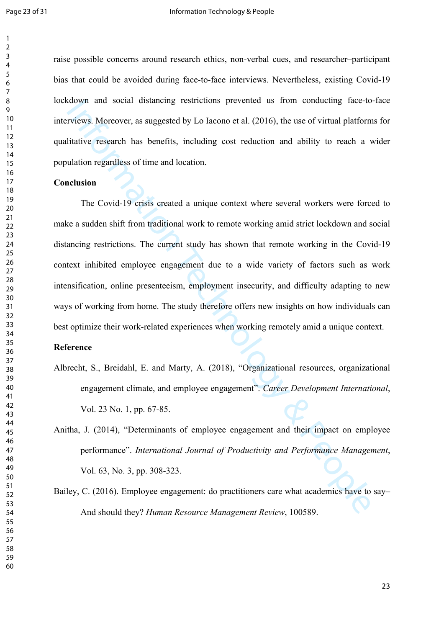raise possible concerns around research ethics, non-verbal cues, and researcher–participant bias that could be avoided during face-to-face interviews. Nevertheless, existing Covid-19 lockdown and social distancing restrictions prevented us from conducting face-to-face interviews. Moreover, as suggested by Lo Iacono et al. (2016), the use of virtual platforms for qualitative research has benefits, including cost reduction and ability to reach a wider population regardless of time and location.

#### **Conclusion**

Comparison and social distancing restrictions prevented us from conducting face-for-<br>
Trivelys. Moreover, as suggested by Lo Iacono et al. (2016), the use of virtual platform<br>
Infative research has benefits, including cost The Covid-19 crisis created a unique context where several workers were forced to make a sudden shift from traditional work to remote working amid strict lockdown and social distancing restrictions. The current study has shown that remote working in the Covid-19 context inhibited employee engagement due to a wide variety of factors such as work intensification, online presenteeism, employment insecurity, and difficulty adapting to new ways of working from home. The study therefore offers new insights on how individuals can best optimize their work-related experiences when working remotely amid a unique context.

## **Reference**

Albrecht, S., Breidahl, E. and Marty, A. (2018), "Organizational resources, organizational engagement climate, and employee engagement". *Career Development International*, Vol. 23 No. 1, pp. 67-85.

Anitha, J. (2014), "Determinants of employee engagement and their impact on employee performance". *International Journal of Productivity and Performance Management*, Vol. 63, No. 3, pp. 308-323.

Bailey, C. (2016). Employee engagement: do practitioners care what academics have to say– And should they? *Human Resource Management Review*, 100589.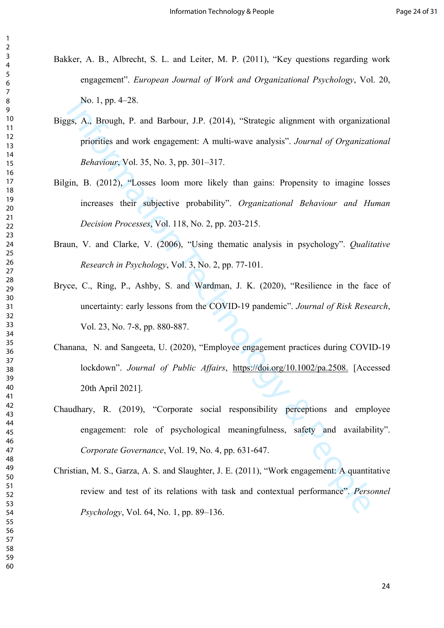- Bakker, A. B., Albrecht, S. L. and Leiter, M. P. (2011), "Key questions regarding work engagement". *European Journal of Work and Organizational Psychology*, Vol. 20, No. 1, pp. 4–28.
- Biggs, A., Brough, P. and Barbour, J.P. (2014), "Strategic alignment with organizational priorities and work engagement: A multi-wave analysis". *Journal of Organizational Behaviour*, Vol. 35, No. 3, pp. 301–317.
- Bilgin, B. (2012), "Losses loom more likely than gains: Propensity to imagine losses increases their subjective probability". *Organizational Behaviour and Human Decision Processes*, Vol. 118, No. 2, pp. 203-215.
- Braun, V. and Clarke, V. (2006), "Using thematic analysis in psychology". *Qualitative Research in Psychology*, Vol. 3, No. 2, pp. 77-101.
- No. 1, pp. 4-28.<br>
gs,  $\Delta$ , Brough, P. and Barbour, J.P. (2014), "Strategic alignment with organizat<br>
priorities and work engagement: A multi-wave analysis". *Journal of Organizat*<br> *Behariour*, Vol. 35, No. 3, pp. 301-31 Bryce, C., Ring, P., Ashby, S. and Wardman, J. K. (2020), "Resilience in the face of uncertainty: early lessons from the COVID-19 pandemic". *Journal of Risk Research*, Vol. 23, No. 7-8, pp. 880-887.
- Chanana, N. and Sangeeta, U. (2020), "Employee engagement practices during COVID-19 lockdown". *Journal of Public Affairs*, https://doi.org/10.1002/pa.2508. [Accessed 20th April 2021].
- Chaudhary, R. (2019), "Corporate social responsibility perceptions and employee engagement: role of psychological meaningfulness, safety and availability". *Corporate Governance*, Vol. 19, No. 4, pp. 631-647.
- Christian, M. S., Garza, A. S. and Slaughter, J. E. (2011), "Work engagement: A quantitative review and test of its relations with task and contextual performance". *Personnel Psychology*, Vol. 64, No. 1, pp. 89–136.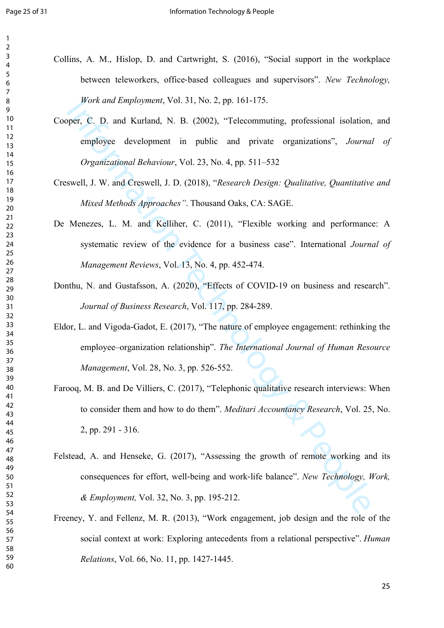- Collins, A. M., Hislop, D. and Cartwright, S. (2016), "Social support in the workplace between teleworkers, office-based colleagues and supervisors". *New Technology*, *Work and Employment*, Vol. 31, No. 2, pp. 161-175.
	- Cooper, C. D. and Kurland, N. B. (2002), "Telecommuting, professional isolation, and employee development in public and private organizations", *Journal of Organizational Behaviour*, Vol. 23, No. 4, pp. 511–532
	- Creswell, J. W. and Creswell, J. D. (2018), "*Research Design: Qualitative, Quantitative and Mixed Methods Approaches"*. Thousand Oaks, CA: SAGE.
	- De Menezes, L. M. and Kelliher, C. (2011), "Flexible working and performance: A systematic review of the evidence for a business case". International *Journal of Management Reviews*, Vol. 13, No. 4, pp. 452-474.
- Donthu, N. and Gustafsson, A. (2020), "Effects of COVID-19 on business and research". *Journal of Business Research*, Vol. 117, pp. 284-289.
- Eldor, L. and Vigoda-Gadot, E. (2017), "The nature of employee engagement: rethinking the employee–organization relationship". *The International Journal of Human Resource Management*, Vol. 28, No. 3, pp. 526-552.
- Farooq, M. B. and De Villiers, C. (2017), "Telephonic qualitative research interviews: When to consider them and how to do them". *Meditari Accountancy Research*, Vol. 25, No. 2, pp. 291 - 316.
- *Formation And Complement, Vol. 31, No. 2, pp. 161-175.*<br> *pper, C. D.* and Kurland, N. B. (2002), "Telecommuting, professional isolation,<br> *employee development in public and private organizations", Journa*<br> *Organizatio* Felstead, A. and Henseke, G. (2017), "Assessing the growth of remote working and its consequences for effort, well‐being and work‐life balance". *New Technology, Work, & Employment,* Vol. 32, No. 3, pp. 195-212.
- Freeney, Y. and Fellenz, M. R. (2013), "Work engagement, job design and the role of the social context at work: Exploring antecedents from a relational perspective". *Human Relations*, Vol. 66, No. 11, pp. 1427-1445.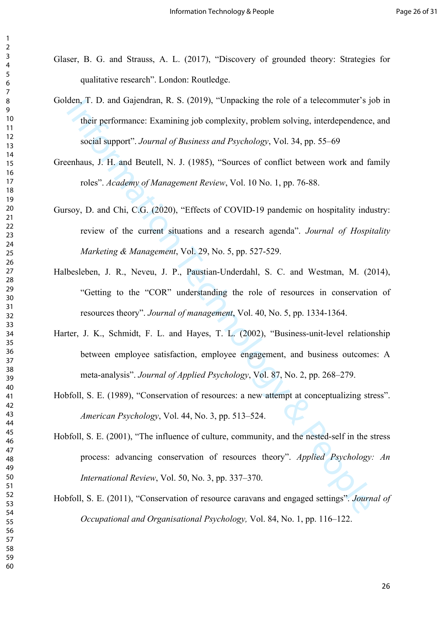- Glaser, B. G. and Strauss, A. L. (2017), "Discovery of grounded theory: Strategies for qualitative research". London: Routledge.
- Golden, T. D. and Gajendran, R. S. (2019), "Unpacking the role of a telecommuter's job in their performance: Examining job complexity, problem solving, interdependence, and social support". *Journal of Business and Psychology*, Vol. 34, pp. 55–69
- Greenhaus, J. H. and Beutell, N. J. (1985), "Sources of conflict between work and family roles". *Academy of Management Review*, Vol. 10 No. 1, pp. 76-88.
- Gursoy, D. and Chi, C.G. (2020), "Effects of COVID-19 pandemic on hospitality industry: review of the current situations and a research agenda". *Journal of Hospitality Marketing & Management*, Vol. 29, No. 5, pp. 527-529.
- den, 1. D. and Gagendran, K. S. (2019), "Onpacking the role of a telecommuter's jumps<br>their performance: Examining job complexity, problem solving, interdependence<br>social support". Journal of husiness and Psychology. Vol. Halbesleben, J. R., Neveu, J. P., Paustian-Underdahl, S. C. and Westman, M. (2014), "Getting to the "COR" understanding the role of resources in conservation of resources theory". *Journal of management*, Vol. 40, No. 5, pp. 1334-1364.
- Harter, J. K., Schmidt, F. L. and Hayes, T. L. (2002), "Business-unit-level relationship between employee satisfaction, employee engagement, and business outcomes: A meta-analysis". *Journal of Applied Psychology*, Vol. 87, No. 2, pp. 268–279.
- Hobfoll, S. E. (1989), "Conservation of resources: a new attempt at conceptualizing stress". *American Psychology*, Vol. 44, No. 3, pp. 513–524.
- Hobfoll, S. E. (2001), "The influence of culture, community, and the nested-self in the stress process: advancing conservation of resources theory". *Applied Psychology: An International Review*, Vol. 50, No. 3, pp. 337–370.
- Hobfoll, S. E. (2011), "Conservation of resource caravans and engaged settings". *Journal of Occupational and Organisational Psychology,* Vol. 84, No. 1, pp. 116–122.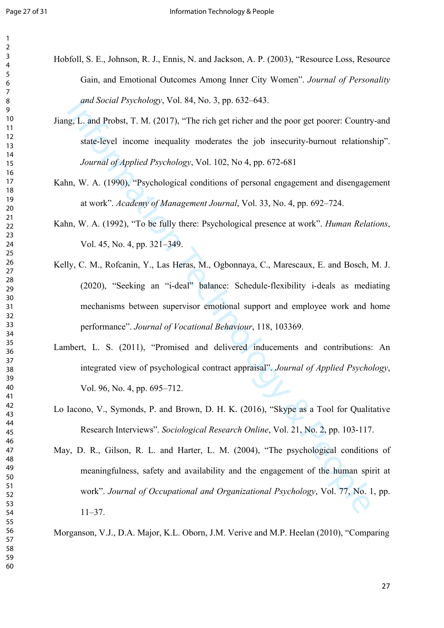- Hobfoll, S. E., Johnson, R. J., Ennis, N. and Jackson, A. P. (2003), "Resource Loss, Resource Gain, and Emotional Outcomes Among Inner City Women". *Journal of Personality and Social Psychology*, Vol. 84, No. 3, pp. 632–643.
	- Jiang, L. and Probst, T. M. (2017), "The rich get richer and the poor get poorer: Country-and state-level income inequality moderates the job insecurity-burnout relationship". *Journal of Applied Psychology*, Vol. 102, No 4, pp. 672-681
	- Kahn, W. A. (1990), "Psychological conditions of personal engagement and disengagement at work". *Academy of Management Journal*, Vol. 33, No. 4, pp. 692–724.
	- Kahn, W. A. (1992), "To be fully there: Psychological presence at work". *Human Relations*, Vol. 45, No. 4, pp. 321–349.
	- and Social Psychology, Vol. 84, No. 3, pp. 632–643.<br>
	Ig, L. and Probst, T. M. (2017), "The rich get richer and the poor get poorer: Country<br>
	state-level income inequality moderates the job insecurity-burnout relations<br>
	Jo Kelly, C. M., Rofcanin, Y., Las Heras, M., Ogbonnaya, C., Marescaux, E. and Bosch, M. J. (2020), "Seeking an "i-deal" balance: Schedule-flexibility i-deals as mediating mechanisms between supervisor emotional support and employee work and home performance". *Journal of Vocational Behaviour*, 118, 103369.
	- Lambert, L. S. (2011), "Promised and delivered inducements and contributions: An integrated view of psychological contract appraisal". *Journal of Applied Psychology*, Vol. 96, No. 4, pp. 695–712.
	- Lo Iacono, V., Symonds, P. and Brown, D. H. K. (2016), "Skype as a Tool for Qualitative Research Interviews". *Sociological Research Online*, Vol. 21, No. 2, pp. 103-117.
	- May, D. R., Gilson, R. L. and Harter, L. M. (2004), "The psychological conditions of meaningfulness, safety and availability and the engagement of the human spirit at work". *Journal of Occupational and Organizational Psychology*, Vol. 77, No. 1, pp. 11–37.

Morganson, V.J., D.A. Major, K.L. Oborn, J.M. Verive and M.P. Heelan (2010), "Comparing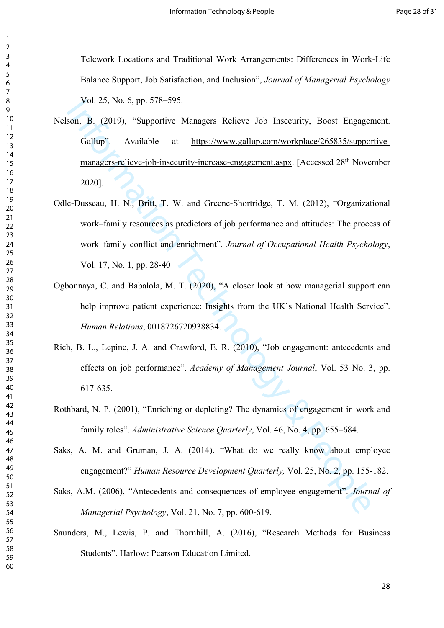Telework Locations and Traditional Work Arrangements: Differences in Work-Life Balance Support, Job Satisfaction, and Inclusion", *Journal of Managerial Psychology* Vol. 25, No. 6, pp. 578–595.

- vol. 25, No. 6, pp. 378-595.<br>
son, B. (2019), "Supportive Managers Relieve Job Insecurity, Boost Engager<br>
Gallup". Available at https://www.gallup.com/workplace/265835/suppor-<br>
managers-relieve-job-insecurity-increase-eng Nelson, B. (2019), "Supportive Managers Relieve Job Insecurity, Boost Engagement. Gallup". Available at https://www.gallup.com/workplace/265835/supportivemanagers-relieve-job-insecurity-increase-engagement.aspx. [Accessed 28th November 2020].
- Odle-Dusseau, H. N., Britt, T. W. and Greene-Shortridge, T. M. (2012), "Organizational work–family resources as predictors of job performance and attitudes: The process of work–family conflict and enrichment". *Journal of Occupational Health Psychology*, Vol. 17, No. 1, pp. 28-40
- Ogbonnaya, C. and Babalola, M. T. (2020), "A closer look at how managerial support can help improve patient experience: Insights from the UK's National Health Service". *Human Relations*, 0018726720938834.
- Rich, B. L., Lepine, J. A. and Crawford, E. R. (2010), "Job engagement: antecedents and effects on job performance". *Academy of Management Journal*, Vol. 53 No. 3, pp. 617-635.
- Rothbard, N. P. (2001), "Enriching or depleting? The dynamics of engagement in work and family roles". *Administrative Science Quarterly*, Vol. 46, No. 4, pp. 655–684.
- Saks, A. M. and Gruman, J. A. (2014). "What do we really know about employee engagement?" *Human Resource Development Quarterly,* Vol. 25, No. 2, pp. 155-182.
- Saks, A.M. (2006), "Antecedents and consequences of employee engagement". *Journal of Managerial Psychology*, Vol. 21, No. 7, pp. 600-619.
- Saunders, M., Lewis, P. and Thornhill, A. (2016), "Research Methods for Business Students". Harlow: Pearson Education Limited.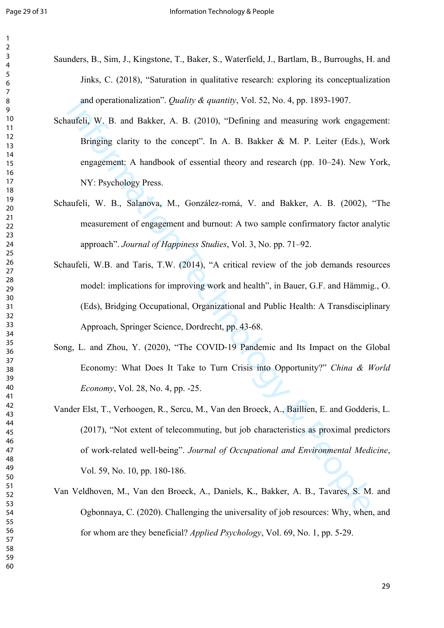- Saunders, B., Sim, J., Kingstone, T., Baker, S., Waterfield, J., Bartlam, B., Burroughs, H. and Jinks, C. (2018), "Saturation in qualitative research: exploring its conceptualization and operationalization". *Quality & quantity*, Vol. 52, No. 4, pp. 1893-1907.
	- Schaufeli, W. B. and Bakker, A. B. (2010), "Defining and measuring work engagement: Bringing clarity to the concept". In A. B. Bakker & M. P. Leiter (Eds.), Work engagement: A handbook of essential theory and research (pp. 10–24). New York, NY: Psychology Press.
	- Schaufeli, W. B., Salanova, M., González-romá, V. and Bakker, A. B. (2002), "The measurement of engagement and burnout: A two sample confirmatory factor analytic approach". *Journal of Happiness Studies*, Vol. 3, No. pp. 71–92.
	- and operationalization *: Quatity & quantity*, Vot. 32, No. 4, pp. 1893-1907.<br>
	auteli, W. B. and Bakker, A. B. (2010), "Defining and measuring work engager<br>
	Hringing clarity to the concept". In A. B. Bakker & M. P. Leiter Schaufeli, W.B. and Taris, T.W. (2014), "A critical review of the job demands resources model: implications for improving work and health", in Bauer, G.F. and Hämmig., O. (Eds), Bridging Occupational, Organizational and Public Health: A Transdisciplinary Approach, Springer Science, Dordrecht, pp. 43-68.
	- Song, L. and Zhou, Y. (2020), "The COVID‐19 Pandemic and Its Impact on the Global Economy: What Does It Take to Turn Crisis into Opportunity?" *China & World Economy*, Vol. 28, No. 4, pp. -25.
	- Vander Elst, T., Verhoogen, R., Sercu, M., Van den Broeck, A., Baillien, E. and Godderis, L. (2017), "Not extent of telecommuting, but job characteristics as proximal predictors of work-related well-being". *Journal of Occupational and Environmental Medicine*, Vol. 59, No. 10, pp. 180-186.
	- Van Veldhoven, M., Van den Broeck, A., Daniels, K., Bakker, A. B., Tavares, S. M. and Ogbonnaya, C. (2020). Challenging the universality of job resources: Why, when, and for whom are they beneficial? *Applied Psychology*, Vol. 69, No. 1, pp. 5-29.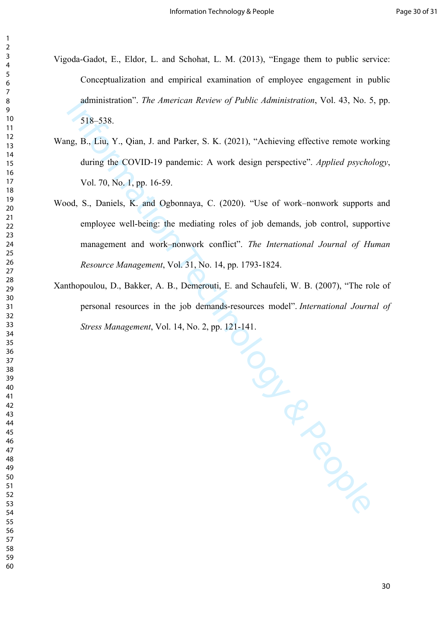- Vigoda-Gadot, E., Eldor, L. and Schohat, L. M. (2013), "Engage them to public service: Conceptualization and empirical examination of employee engagement in public administration". *The American Review of Public Administration*, Vol. 43, No. 5, pp. 518–538.
- Wang, B., Liu, Y., Qian, J. and Parker, S. K. (2021), "Achieving effective remote working during the COVID‐19 pandemic: A work design perspective". *Applied psychology*, Vol. 70, No. 1, pp. 16-59.
- Wood, S., Daniels, K. and Ogbonnaya, C. (2020). "Use of work–nonwork supports and employee well-being: the mediating roles of job demands, job control, supportive management and work–nonwork conflict". *The International Journal of Human Resource Management*, Vol. 31, No. 14, pp. 1793-1824.
- Xanthopoulou, D., Bakker, A. B., Demerouti, E. and Schaufeli, W. B. (2007), "The role of personal resources in the job demands-resources model". *International Journal of Stress Management*, Vol. 14, No. 2, pp. 121-141.

Independence